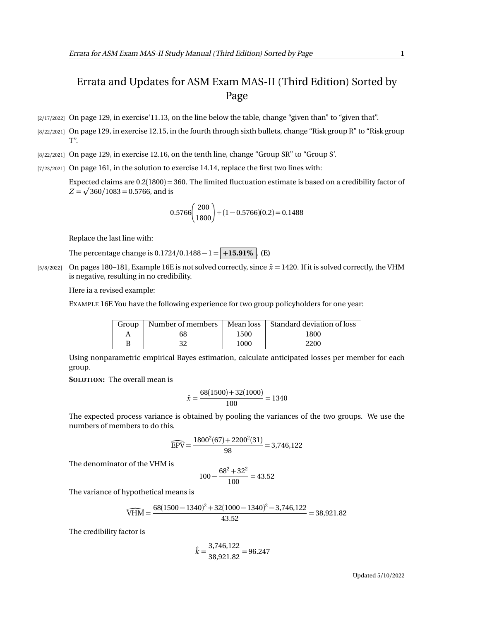## Errata and Updates for ASM Exam MAS-II (Third Edition) Sorted by Page

- [2/17/2022] On page 129, in exercise'11.13, on the line below the table, change "given than" to "given that".
- [8/22/2021] On page 129, in exercise 12.15, in the fourth through sixth bullets, change "Risk group R" to "Risk group T".
- [8/22/2021] On page 129, in exercise 12.16, on the tenth line, change "Group SR" to "Group S'.
- [7/23/2021] On page 161, in the solution to exercise 14.14, replace the first two lines with:

Expected claims are 0.2(1800) = 360. The limited fluctuation estimate is based on a credibility factor of  $Z = \sqrt{360/1083} = 0.5766$ , and is

$$
0.5766 \left(\frac{200}{1800}\right) + (1 - 0.5766)(0.2) = 0.1488
$$

Replace the last line with:

The percentage change is  $0.1724/0.1488 - 1 = +15.91\%$  . **(E)** 

[5/8/2022] On pages 180–181, Example 16E is not solved correctly, since  $\bar{x}$  = 1420. If it is solved correctly, the VHM is negative, resulting in no credibility.

Here ia a revised example:

EXAMPLE 16E You have the following experience for two group policyholders for one year:

|    |      | Group   Number of members   Mean loss   Standard deviation of loss |
|----|------|--------------------------------------------------------------------|
| 68 | 1500 | 1800                                                               |
| 20 | 1000 | 2200                                                               |

Using nonparametric empirical Bayes estimation, calculate anticipated losses per member for each group.

**SOLUTION:** The overall mean is

$$
\bar{x} = \frac{68(1500) + 32(1000)}{100} = 1340
$$

The expected process variance is obtained by pooling the variances of the two groups. We use the numbers of members to do this.

$$
\widehat{\text{EPV}} = \frac{1800^2(67) + 2200^2(31)}{98} = 3,746,122
$$

The denominator of the VHM is

$$
100 - \frac{68^2 + 32^2}{100} = 43.52
$$

The variance of hypothetical means is

$$
\widehat{\text{VHM}} = \frac{68(1500 - 1340)^2 + 32(1000 - 1340)^2 - 3,746,122}{43.52} = 38,921.82
$$

The credibility factor is

$$
\hat{k} = \frac{3,746,122}{38,921.82} = 96.247
$$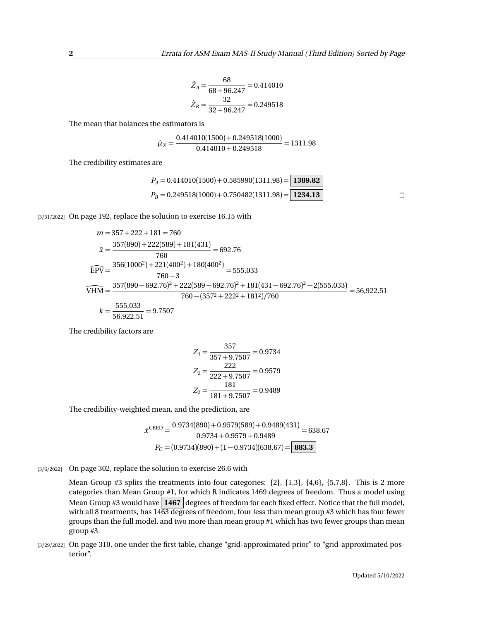$$
\hat{Z}_A = \frac{68}{68 + 96.247} = 0.414010
$$

$$
\hat{Z}_B = \frac{32}{32 + 96.247} = 0.249518
$$

The mean that balances the estimators is

$$
\hat{\mu}_X = \frac{0.414010(1500) + 0.249518(1000)}{0.414010 + 0.249518} = 1311.98
$$

The credibility estimates are

$$
P_A = 0.414010(1500) + 0.585990(1311.98) = \boxed{1389.82}
$$
  
\n
$$
P_B = 0.249518(1000) + 0.750482(1311.98) = \boxed{1234.13}
$$

[3/31/2022] On page 192, replace the solution to exercise 16.15 with

$$
m = 357 + 222 + 181 = 760
$$
  
\n
$$
\bar{x} = \frac{357(890) + 222(589) + 181(431)}{760} = 692.76
$$
  
\n
$$
\widehat{EPV} = \frac{356(1000^2) + 221(400^2) + 180(400^2)}{760 - 3} = 555,033
$$
  
\n
$$
\widehat{VHM} = \frac{357(890 - 692.76)^2 + 222(589 - 692.76)^2 + 181(431 - 692.76)^2 - 2(555,033)}{760 - (3572 + 2222 + 1812)/760} = 56,922.51
$$
  
\n
$$
k = \frac{555,033}{56,922.51} = 9.7507
$$

The credibility factors are

$$
Z_1 = \frac{357}{357 + 9.7507} = 0.9734
$$

$$
Z_2 = \frac{222}{222 + 9.7507} = 0.9579
$$

$$
Z_3 = \frac{181}{181 + 9.7507} = 0.9489
$$

The credibility-weighted mean, and the prediction, are

$$
\bar{x}^{\text{CRED}} = \frac{0.9734(890) + 0.9579(589) + 0.9489(431)}{0.9734 + 0.9579 + 0.9489} = 638.67
$$

$$
P_C = (0.9734)(890) + (1 - 0.9734)(638.67) = \boxed{\textbf{883.3}}
$$

[3/6/2022] On page 302, replace the solution to exercise 26.6 with

Mean Group  $#3$  splits the treatments into four categories:  $\{2\}$ ,  $\{1,3\}$ ,  $\{4,6\}$ ,  $\{5,7,8\}$ . This is 2 more categories than Mean Group #1, for which R indicates 1469 degrees of freedom. Thus a model using Mean Group #3 would have  $\boxed{1467}$  degrees of freedom for each fixed effect. Notice that the full model, with all 8 treatments, has  $1463$  degrees of freedom, four less than mean group #3 which has four fewer groups than the full model, and two more than mean group #1 which has two fewer groups than mean group #3.

[3/29/2022] On page 310, one under the first table, change "grid-approximated prior" to "grid-approximated posterior".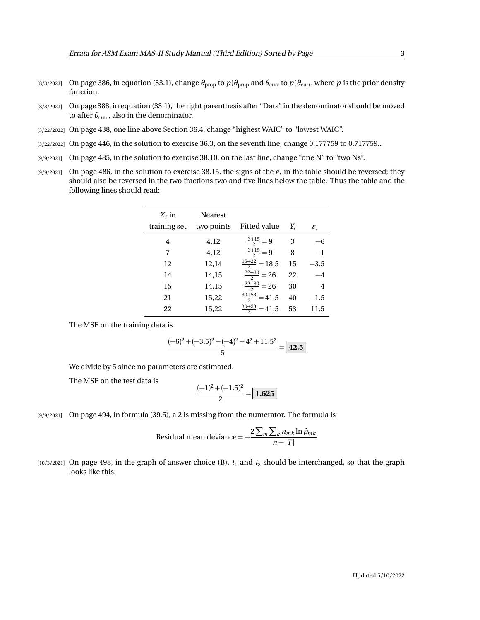- [8/3/2021] On page 386, in equation (33.1), change  $θ_{prop}$  to  $p(θ_{prop}$  and  $θ_{curr}$  to  $p(θ_{curr}$ , where *p* is the prior density function.
- [8/3/2021] On page 388, in equation (33.1), the right parenthesis after "Data" in the denominator should be moved to after  $\theta_{\text{curr}}$ , also in the denominator.
- [3/22/2022] On page 438, one line above Section 36.4, change "highest WAIC" to "lowest WAIC".
- [3/22/2022] On page 446, in the solution to exercise 36.3, on the seventh line, change 0.177759 to 0.717759...
- [9/9/2021] On page 485, in the solution to exercise 38.10, on the last line, change "one N" to "two Ns".
- $_{[9/9/2021]}$  On page 486, in the solution to exercise 38.15, the signs of the  $\varepsilon_i$  in the table should be reversed; they should also be reversed in the two fractions two and five lines below the table. Thus the table and the following lines should read:

| $X_i$ in     | Nearest    |                          |    |                 |
|--------------|------------|--------------------------|----|-----------------|
| training set | two points | Fitted value             | Y  | $\varepsilon_i$ |
| 4            | 4,12       | $\frac{3+15}{2} = 9$     | 3  | —რ              |
| 7            | 4,12       | $\frac{3+15}{2} = 9$     | 8  | $-1$            |
| 12           | 12,14      | $\frac{15+22}{2} = 18.5$ | 15 | –3.5            |
| 14           | 14,15      | $\frac{22+30}{2} = 26$   | 22 | $-4$            |
| 15           | 14,15      | $\frac{22+30}{2} = 26$   | 30 | $\overline{4}$  |
| 21           | 15,22      | $\frac{30+53}{2}$ = 41.5 | 40 | $-1.5$          |
| 22           | 15,22      | $\frac{30+53}{2}$ = 41.5 | 53 | 11.5            |
|              |            |                          |    |                 |

The MSE on the training data is

$$
\frac{(-6)^2 + (-3.5)^2 + (-4)^2 + 4^2 + 11.5^2}{5} = \boxed{42.5}
$$

We divide by 5 since no parameters are estimated.

The MSE on the test data is

$$
\frac{(-1)^2 + (-1.5)^2}{2} = \boxed{1.625}
$$

[9/9/2021] On page 494, in formula (39.5), a 2 is missing from the numerator. The formula is

Residual mean deviance = 
$$
-\frac{2\sum_{m}\sum_{k}n_{mk}\ln\hat{p}_{mk}}{n-|T|}
$$

 $[10/3/2021]$  On page 498, in the graph of answer choice (B),  $t_1$  and  $t_3$  should be interchanged, so that the graph looks like this: